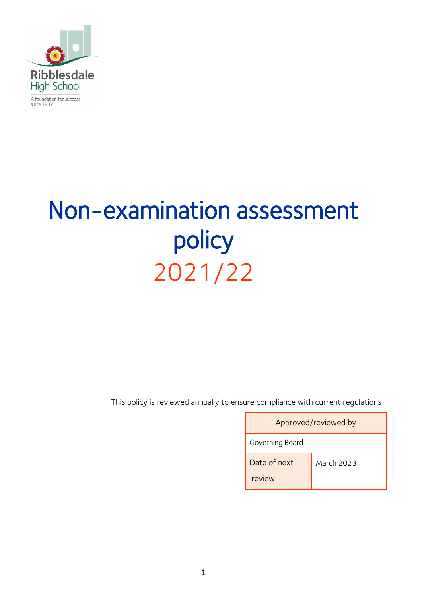

A foundation for success<br>since 1932

# Non-examination assessment policy 2021/22

This policy is reviewed annually to ensure compliance with current regulations

| Approved/reviewed by   |            |  |
|------------------------|------------|--|
| Governing Board        |            |  |
| Date of next<br>review | March 2023 |  |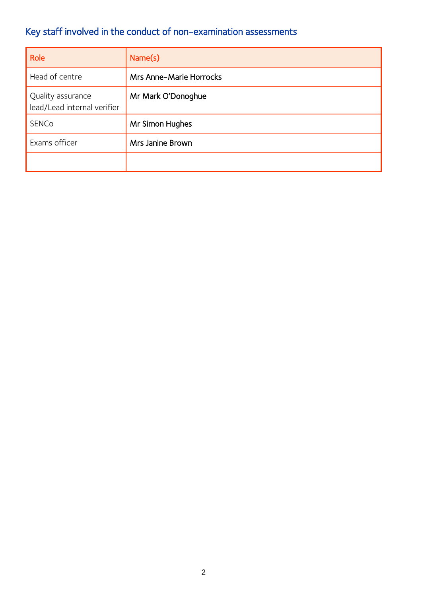# Key staff involved in the conduct of non-examination assessments

| Role                                             | Name(s)                        |
|--------------------------------------------------|--------------------------------|
| Head of centre                                   | <b>Mrs Anne-Marie Horrocks</b> |
| Quality assurance<br>lead/Lead internal verifier | Mr Mark O'Donoghue             |
| <b>SENCo</b>                                     | Mr Simon Hughes                |
| Exams officer                                    | Mrs Janine Brown               |
|                                                  |                                |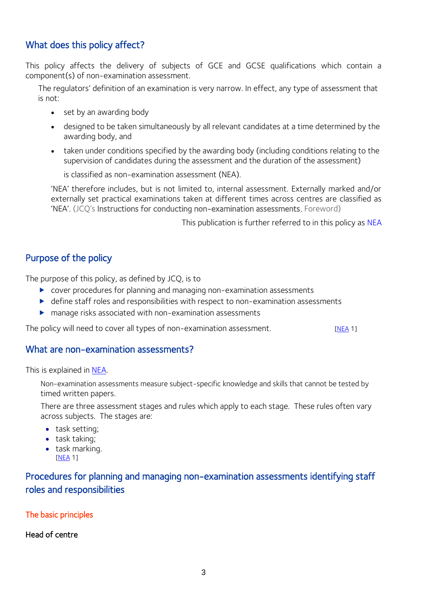# What does this policy affect?

This policy affects the delivery of subjects of GCE and GCSE qualifications which contain a component(s) of non-examination assessment.

The regulators' definition of an examination is very narrow. In effect, any type of assessment that is not:

- set by an awarding body
- designed to be taken simultaneously by all relevant candidates at a time determined by the awarding body, and
- taken under conditions specified by the awarding body (including conditions relating to the supervision of candidates during the assessment and the duration of the assessment)

is classified as non-examination assessment (NEA).

'NEA' therefore includes, but is not limited to, internal assessment. Externally marked and/or externally set practical examinations taken at different times across centres are classified as 'NEA'. (JCQ's Instructions for conducting non-examination assessments, Foreword)

This publication is further referred to in this policy as [NEA](http://www.jcq.org.uk/exams-office/non-examination-assessments)

# Purpose of the policy

The purpose of this policy, as defined by JCQ, is to

- cover procedures for planning and managing non-examination assessments
- define staff roles and responsibilities with respect to non-examination assessments
- manage risks associated with non-examination assessments

The policy will need to cover all types of non-examination assessment. [\[NEA](http://www.jcq.org.uk/exams-office/non-examination-assessments) 1]

#### What are non-examination assessments?

This is explained in [NEA.](http://www.jcq.org.uk/exams-office/non-examination-assessments)

Non-examination assessments measure subject-specific knowledge and skills that cannot be tested by timed written papers.

There are three assessment stages and rules which apply to each stage. These rules often vary across subjects. The stages are:

- task setting;
- task taking;
- task marking. [\[NEA](http://www.jcq.org.uk/exams-office/non-examination-assessments) 1]

Procedures for planning and managing non-examination assessments identifying staff roles and responsibilities

The basic principles

#### Head of centre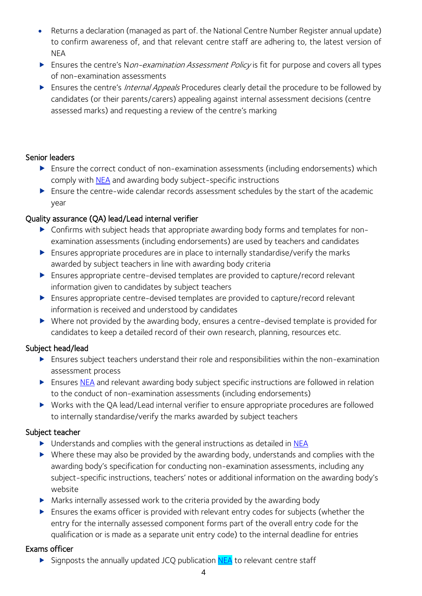- Returns a declaration (managed as part of. the National Centre Number Register annual update) to confirm awareness of, and that relevant centre staff are adhering to, the latest version of **NFA**
- Ensures the centre's Non-examination Assessment Policy is fit for purpose and covers all types of non-examination assessments
- Ensures the centre's *Internal Appeals* Procedures clearly detail the procedure to be followed by candidates (or their parents/carers) appealing against internal assessment decisions (centre assessed marks) and requesting a review of the centre's marking

# Senior leaders

- Ensure the correct conduct of non-examination assessments (including endorsements) which comply with **NEA** and awarding body subject-specific instructions
- Ensure the centre-wide calendar records assessment schedules by the start of the academic year

# Quality assurance (QA) lead/Lead internal verifier

- Confirms with subject heads that appropriate awarding body forms and templates for nonexamination assessments (including endorsements) are used by teachers and candidates
- Ensures appropriate procedures are in place to internally standardise/verify the marks awarded by subject teachers in line with awarding body criteria
- Ensures appropriate centre-devised templates are provided to capture/record relevant information given to candidates by subject teachers
- Ensures appropriate centre-devised templates are provided to capture/record relevant information is received and understood by candidates
- Where not provided by the awarding body, ensures a centre-devised template is provided for candidates to keep a detailed record of their own research, planning, resources etc.

# Subject head/lead

- Ensures subject teachers understand their role and responsibilities within the non-examination assessment process
- Ensures [NEA](http://www.jcq.org.uk/exams-office/non-examination-assessments) and relevant awarding body subject specific instructions are followed in relation to the conduct of non-examination assessments (including endorsements)
- Works with the QA lead/Lead internal verifier to ensure appropriate procedures are followed to internally standardise/verify the marks awarded by subject teachers

#### Subject teacher

- ▶ Understands and complies with the general instructions as detailed in [NEA](http://www.jcq.org.uk/exams-office/non-examination-assessments)
- $\triangleright$  Where these may also be provided by the awarding body, understands and complies with the awarding body's specification for conducting non-examination assessments, including any subject-specific instructions, teachers' notes or additional information on the awarding body's website
- Marks internally assessed work to the criteria provided by the awarding body
- Ensures the exams officer is provided with relevant entry codes for subjects (whether the entry for the internally assessed component forms part of the overall entry code for the qualification or is made as a separate unit entry code) to the internal deadline for entries

#### Exams officer

Signposts the annually updated JCQ publication [NEA](http://www.jcq.org.uk/exams-office/non-examination-assessments) to relevant centre staff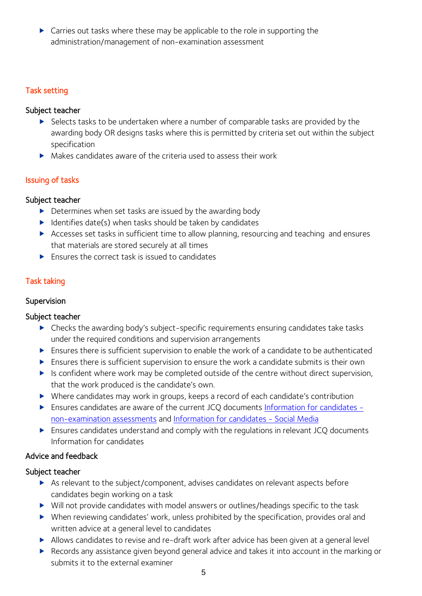▶ Carries out tasks where these may be applicable to the role in supporting the administration/management of non-examination assessment

# Task setting

#### Subject teacher

- Selects tasks to be undertaken where a number of comparable tasks are provided by the awarding body OR designs tasks where this is permitted by criteria set out within the subject specification
- Makes candidates aware of the criteria used to assess their work

# Issuing of tasks

#### Subject teacher

- Determines when set tasks are issued by the awarding body
- $\blacktriangleright$  Identifies date(s) when tasks should be taken by candidates
- Accesses set tasks in sufficient time to allow planning, resourcing and teaching and ensures that materials are stored securely at all times
- $\blacktriangleright$  Ensures the correct task is issued to candidates

# Task taking

### Supervision

#### Subject teacher

- Checks the awarding body's subject-specific requirements ensuring candidates take tasks under the required conditions and supervision arrangements
- Ensures there is sufficient supervision to enable the work of a candidate to be authenticated
- Ensures there is sufficient supervision to ensure the work a candidate submits is their own
- Is confident where work may be completed outside of the centre without direct supervision, that the work produced is the candidate's own.
- Where candidates may work in groups, keeps a record of each candidate's contribution
- Ensures candidates are aware of the current JCQ documents [Information for candidates](http://www.jcq.org.uk/exams-office/information-for-candidates-documents)  [non-examination assessments](http://www.jcq.org.uk/exams-office/information-for-candidates-documents) and [Information for candidates -](http://www.jcq.org.uk/exams-office/information-for-candidates-documents) Social Media
- Ensures candidates understand and comply with the regulations in relevant JCQ documents Information for candidates

# Advice and feedback

# Subject teacher

- As relevant to the subject/component, advises candidates on relevant aspects before candidates begin working on a task
- Will not provide candidates with model answers or outlines/headings specific to the task
- When reviewing candidates' work, unless prohibited by the specification, provides oral and written advice at a general level to candidates
- Allows candidates to revise and re-draft work after advice has been given at a general level
- Records any assistance given beyond general advice and takes it into account in the marking or submits it to the external examiner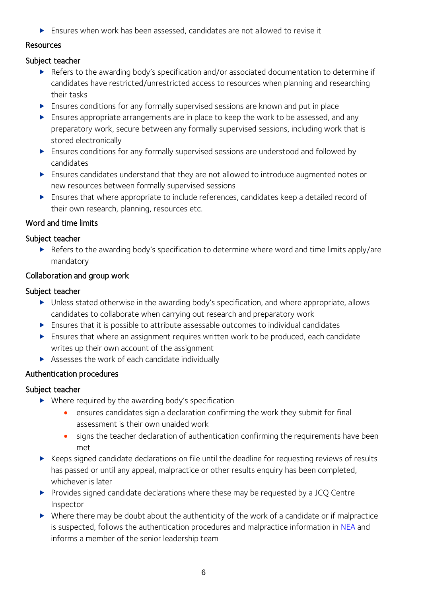Ensures when work has been assessed, candidates are not allowed to revise it

#### Resources

#### Subject teacher

- ▶ Refers to the awarding body's specification and/or associated documentation to determine if candidates have restricted/unrestricted access to resources when planning and researching their tasks
- Ensures conditions for any formally supervised sessions are known and put in place
- Ensures appropriate arrangements are in place to keep the work to be assessed, and any preparatory work, secure between any formally supervised sessions, including work that is stored electronically
- Ensures conditions for any formally supervised sessions are understood and followed by candidates
- Ensures candidates understand that they are not allowed to introduce augmented notes or new resources between formally supervised sessions
- Ensures that where appropriate to include references, candidates keep a detailed record of their own research, planning, resources etc.

#### Word and time limits

#### Subject teacher

▶ Refers to the awarding body's specification to determine where word and time limits apply/are mandatory

#### Collaboration and group work

#### Subject teacher

- ▶ Unless stated otherwise in the awarding body's specification, and where appropriate, allows candidates to collaborate when carrying out research and preparatory work
- Ensures that it is possible to attribute assessable outcomes to individual candidates
- Ensures that where an assignment requires written work to be produced, each candidate writes up their own account of the assignment
- Assesses the work of each candidate individually

# Authentication procedures

# Subject teacher

- ▶ Where required by the awarding body's specification
	- ensures candidates sign a declaration confirming the work they submit for final assessment is their own unaided work
	- signs the teacher declaration of authentication confirming the requirements have been met
- $\triangleright$  Keeps signed candidate declarations on file until the deadline for requesting reviews of results has passed or until any appeal, malpractice or other results enquiry has been completed, whichever is later
- Provides signed candidate declarations where these may be requested by a JCQ Centre Inspector
- Where there may be doubt about the authenticity of the work of a candidate or if malpractice is suspected, follows the authentication procedures and malpractice information in [NEA](http://www.jcq.org.uk/exams-office/non-examination-assessments) and informs a member of the senior leadership team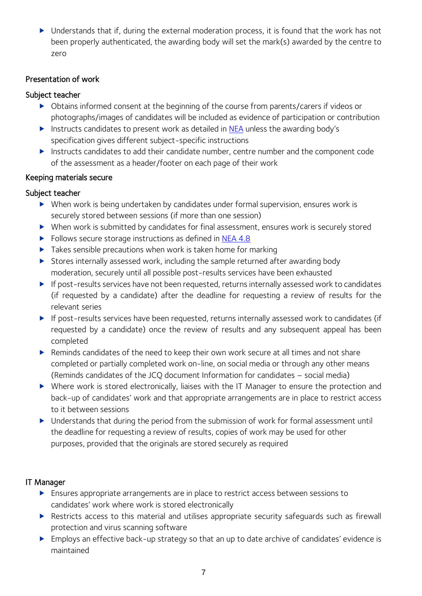Understands that if, during the external moderation process, it is found that the work has not been properly authenticated, the awarding body will set the mark(s) awarded by the centre to zero

#### Presentation of work

# Subject teacher

- Obtains informed consent at the beginning of the course from parents/carers if videos or photographs/images of candidates will be included as evidence of participation or contribution
- Instructs candidates to present work as detailed in [NEA](http://www.jcq.org.uk/exams-office/non-examination-assessments) unless the awarding body's specification gives different subject-specific instructions
- Instructs candidates to add their candidate number, centre number and the component code of the assessment as a header/footer on each page of their work

# Keeping materials secure

# Subject teacher

- When work is being undertaken by candidates under formal supervision, ensures work is securely stored between sessions (if more than one session)
- When work is submitted by candidates for final assessment, ensures work is securely stored
- Follows secure storage instructions as defined in [NEA](http://www.jcq.org.uk/exams-office/non-examination-assessments) 4.8
- Takes sensible precautions when work is taken home for marking
- Stores internally assessed work, including the sample returned after awarding body moderation, securely until all possible post-results services have been exhausted
- If post-results services have not been requested, returns internally assessed work to candidates (if requested by a candidate) after the deadline for requesting a review of results for the relevant series
- If post-results services have been requested, returns internally assessed work to candidates (if requested by a candidate) once the review of results and any subsequent appeal has been completed
- ▶ Reminds candidates of the need to keep their own work secure at all times and not share completed or partially completed work on-line, on social media or through any other means (Reminds candidates of the JCQ document Information for candidates – social media)
- Where work is stored electronically, liaises with the IT Manager to ensure the protection and back-up of candidates' work and that appropriate arrangements are in place to restrict access to it between sessions
- Understands that during the period from the submission of work for formal assessment until the deadline for requesting a review of results, copies of work may be used for other purposes, provided that the originals are stored securely as required

# IT Manager

- Ensures appropriate arrangements are in place to restrict access between sessions to candidates' work where work is stored electronically
- Restricts access to this material and utilises appropriate security safequards such as firewall protection and virus scanning software
- Employs an effective back-up strategy so that an up to date archive of candidates' evidence is maintained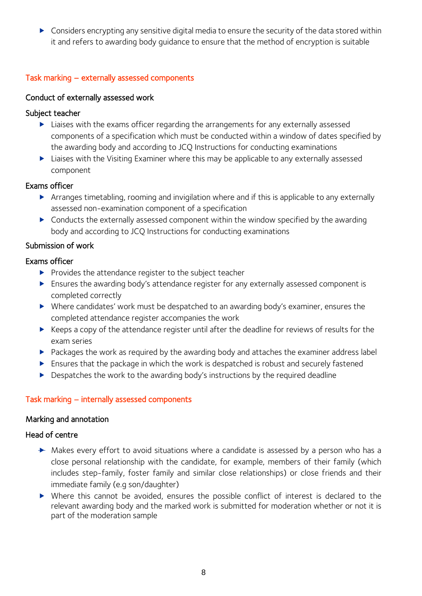Considers encrypting any sensitive digital media to ensure the security of the data stored within it and refers to awarding body guidance to ensure that the method of encryption is suitable

#### Task marking – externally assessed components

#### Conduct of externally assessed work

#### Subject teacher

- Liaises with the exams officer regarding the arrangements for any externally assessed components of a specification which must be conducted within a window of dates specified by the awarding body and according to JCQ Instructions for conducting examinations
- ▶ Liaises with the Visiting Examiner where this may be applicable to any externally assessed component

#### Exams officer

- Arranges timetabling, rooming and invigilation where and if this is applicable to any externally assessed non-examination component of a specification
- Conducts the externally assessed component within the window specified by the awarding body and according to JCQ Instructions for conducting examinations

#### Submission of work

#### Exams officer

- $\blacktriangleright$  Provides the attendance register to the subject teacher
- Ensures the awarding body's attendance register for any externally assessed component is completed correctly
- Where candidates' work must be despatched to an awarding body's examiner, ensures the completed attendance register accompanies the work
- $\blacktriangleright$  Keeps a copy of the attendance register until after the deadline for reviews of results for the exam series
- Packages the work as required by the awarding body and attaches the examiner address label
- Ensures that the package in which the work is despatched is robust and securely fastened
- Despatches the work to the awarding body's instructions by the required deadline

#### Task marking – internally assessed components

#### Marking and annotation

#### Head of centre

- $\rightarrow$  Makes every effort to avoid situations where a candidate is assessed by a person who has a close personal relationship with the candidate, for example, members of their family (which includes step-family, foster family and similar close relationships) or close friends and their immediate family (e.g son/daughter)
- Where this cannot be avoided, ensures the possible conflict of interest is declared to the relevant awarding body and the marked work is submitted for moderation whether or not it is part of the moderation sample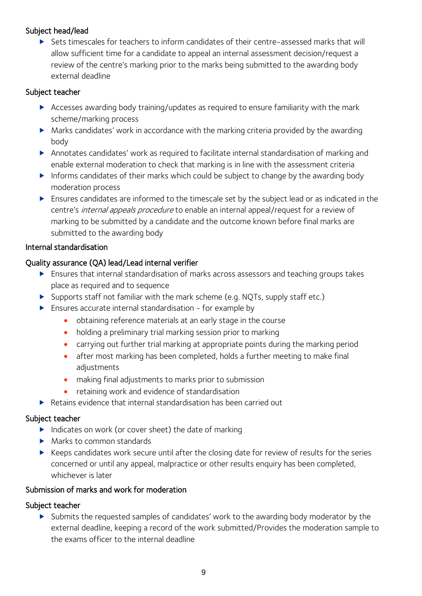#### Subject head/lead

 Sets timescales for teachers to inform candidates of their centre-assessed marks that will allow sufficient time for a candidate to appeal an internal assessment decision/request a review of the centre's marking prior to the marks being submitted to the awarding body external deadline

#### Subject teacher

- Accesses awarding body training/updates as required to ensure familiarity with the mark scheme/marking process
- Marks candidates' work in accordance with the marking criteria provided by the awarding body
- Annotates candidates' work as required to facilitate internal standardisation of marking and enable external moderation to check that marking is in line with the assessment criteria
- Informs candidates of their marks which could be subject to change by the awarding body moderation process
- Ensures candidates are informed to the timescale set by the subject lead or as indicated in the centre's *internal appeals procedure* to enable an internal appeal/request for a review of marking to be submitted by a candidate and the outcome known before final marks are submitted to the awarding body

#### Internal standardisation

#### Quality assurance (QA) lead/Lead internal verifier

- Ensures that internal standardisation of marks across assessors and teaching groups takes place as required and to sequence
- Supports staff not familiar with the mark scheme (e.g. NQTs, supply staff etc.)
- $\blacktriangleright$  Ensures accurate internal standardisation for example by
	- obtaining reference materials at an early stage in the course
	- holding a preliminary trial marking session prior to marking
	- carrying out further trial marking at appropriate points during the marking period
	- after most marking has been completed, holds a further meeting to make final adjustments
	- making final adjustments to marks prior to submission
	- retaining work and evidence of standardisation
- ▶ Retains evidence that internal standardisation has been carried out

#### Subject teacher

- $\blacktriangleright$  Indicates on work (or cover sheet) the date of marking
- Marks to common standards
- $\triangleright$  Keeps candidates work secure until after the closing date for review of results for the series concerned or until any appeal, malpractice or other results enquiry has been completed, whichever is later

#### Submission of marks and work for moderation

#### Subject teacher

Submits the requested samples of candidates' work to the awarding body moderator by the external deadline, keeping a record of the work submitted/Provides the moderation sample to the exams officer to the internal deadline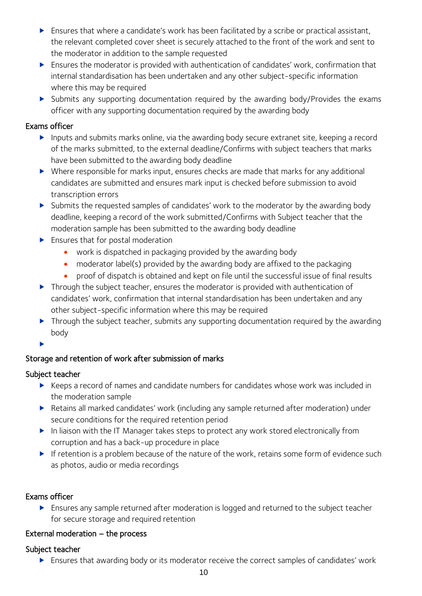- Ensures that where a candidate's work has been facilitated by a scribe or practical assistant, the relevant completed cover sheet is securely attached to the front of the work and sent to the moderator in addition to the sample requested
- Ensures the moderator is provided with authentication of candidates' work, confirmation that internal standardisation has been undertaken and any other subject-specific information where this may be required
- Submits any supporting documentation required by the awarding body/Provides the exams officer with any supporting documentation required by the awarding body

#### Exams officer

- Inputs and submits marks online, via the awarding body secure extranet site, keeping a record of the marks submitted, to the external deadline/Confirms with subject teachers that marks have been submitted to the awarding body deadline
- Where responsible for marks input, ensures checks are made that marks for any additional candidates are submitted and ensures mark input is checked before submission to avoid transcription errors
- Submits the requested samples of candidates' work to the moderator by the awarding body deadline, keeping a record of the work submitted/Confirms with Subject teacher that the moderation sample has been submitted to the awarding body deadline
- **Ensures that for postal moderation** 
	- work is dispatched in packaging provided by the awarding body
	- moderator label(s) provided by the awarding body are affixed to the packaging
	- proof of dispatch is obtained and kept on file until the successful issue of final results
- **Through the subject teacher, ensures the moderator is provided with authentication of** candidates' work, confirmation that internal standardisation has been undertaken and any other subject-specific information where this may be required
- **Through the subject teacher, submits any supporting documentation required by the awarding** body
- $\blacktriangleright$

# Storage and retention of work after submission of marks

# Subject teacher

- ▶ Keeps a record of names and candidate numbers for candidates whose work was included in the moderation sample
- Retains all marked candidates' work (including any sample returned after moderation) under secure conditions for the required retention period
- In liaison with the IT Manager takes steps to protect any work stored electronically from corruption and has a back-up procedure in place
- If retention is a problem because of the nature of the work, retains some form of evidence such as photos, audio or media recordings

# Exams officer

 Ensures any sample returned after moderation is logged and returned to the subject teacher for secure storage and required retention

# External moderation – the process

# Subject teacher

Ensures that awarding body or its moderator receive the correct samples of candidates' work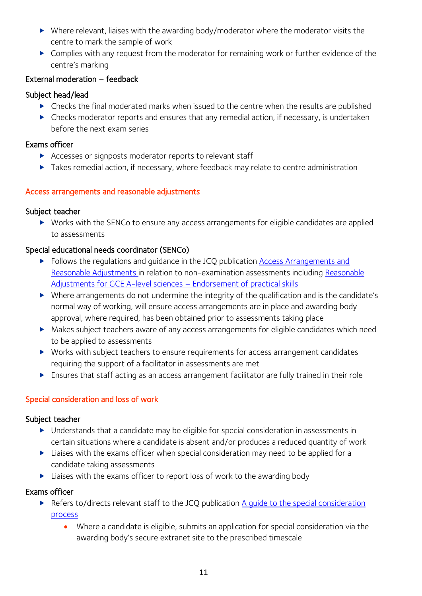- ▶ Where relevant, liaises with the awarding body/moderator where the moderator visits the centre to mark the sample of work
- Complies with any request from the moderator for remaining work or further evidence of the centre's marking

# External moderation – feedback

# Subject head/lead

- Checks the final moderated marks when issued to the centre when the results are published
- Checks moderator reports and ensures that any remedial action, if necessary, is undertaken before the next exam series

# Exams officer

- Accesses or signposts moderator reports to relevant staff
- Takes remedial action, if necessary, where feedback may relate to centre administration

# Access arrangements and reasonable adjustments

# Subject teacher

 Works with the SENCo to ensure any access arrangements for eligible candidates are applied to assessments

# Special educational needs coordinator (SENCo)

- Follows the regulations and guidance in the JCQ publication Access Arrangements and [Reasonable Adjustments](http://www.jcq.org.uk/exams-office/access-arrangements-and-special-consideration) in relation to non-examination assessments including [Reasonable](https://www.jcq.org.uk/exams-office/access-arrangements-and-special-consideration/regulations-and-guidance)  [Adjustments for GCE A-level sciences](https://www.jcq.org.uk/exams-office/access-arrangements-and-special-consideration/regulations-and-guidance) – Endorsement of practical skills
- Where arrangements do not undermine the integrity of the qualification and is the candidate's normal way of working, will ensure access arrangements are in place and awarding body approval, where required, has been obtained prior to assessments taking place
- Makes subject teachers aware of any access arrangements for eligible candidates which need to be applied to assessments
- Works with subject teachers to ensure requirements for access arrangement candidates requiring the support of a facilitator in assessments are met
- Ensures that staff acting as an access arrangement facilitator are fully trained in their role

# Special consideration and loss of work

# Subject teacher

- Understands that a candidate may be eligible for special consideration in assessments in certain situations where a candidate is absent and/or produces a reduced quantity of work
- ▶ Liaises with the exams officer when special consideration may need to be applied for a candidate taking assessments
- ▶ Liaises with the exams officer to report loss of work to the awarding body

# Exams officer

- ▶ Refers to/directs relevant staff to the JCQ publication A quide to the special consideration [process](http://www.jcq.org.uk/exams-office/access-arrangements-and-special-consideration) 
	- Where a candidate is eligible, submits an application for special consideration via the awarding body's secure extranet site to the prescribed timescale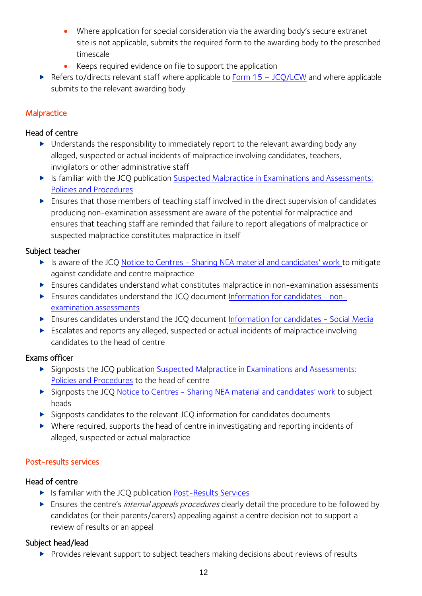- Where application for special consideration via the awarding body's secure extranet site is not applicable, submits the required form to the awarding body to the prescribed timescale
- Keeps required evidence on file to support the application
- Refers to/directs relevant staff where applicable to Form  $15 JCQ/LCW$  $15 JCQ/LCW$  and where applicable submits to the relevant awarding body

#### **Malpractice**

#### Head of centre

- ▶ Understands the responsibility to immediately report to the relevant awarding body any alleged, suspected or actual incidents of malpractice involving candidates, teachers, invigilators or other administrative staff
- If Is familiar with the JCQ publication Suspected Malpractice in Examinations and Assessments: [Policies and Procedures](http://www.jcq.org.uk/exams-office/malpractice)
- Ensures that those members of teaching staff involved in the direct supervision of candidates producing non-examination assessment are aware of the potential for malpractice and ensures that teaching staff are reminded that failure to report allegations of malpractice or suspected malpractice constitutes malpractice in itself

#### Subject teacher

- Is aware of the JCQ Notice to Centres [Sharing NEA material and candidates' work](http://www.jcq.org.uk/exams-office/non-examination-assessments) to mitigate against candidate and centre malpractice
- Ensures candidates understand what constitutes malpractice in non-examination assessments
- Ensures candidates understand the JCQ document [Information for candidates -](http://www.jcq.org.uk/exams-office/information-for-candidates-documents) non[examination assessments](http://www.jcq.org.uk/exams-office/information-for-candidates-documents)
- ▶ Ensures candidates understand the JCQ document [Information for candidates -](http://www.jcq.org.uk/exams-office/information-for-candidates-documents) Social Media
- Escalates and reports any alleged, suspected or actual incidents of malpractice involving candidates to the head of centre

#### Exams officer

- Signposts the JCQ publication [Suspected Malpractice in Examinations and Assessments:](http://www.jcq.org.uk/exams-office/malpractice)  [Policies and Procedures](http://www.jcq.org.uk/exams-office/malpractice) to the head of centre
- Signposts the JCQ Notice to Centres [Sharing NEA material and candidates' work](http://www.jcq.org.uk/exams-office/non-examination-assessments) to subject heads
- Signposts candidates to the relevant JCQ information for candidates documents
- Where required, supports the head of centre in investigating and reporting incidents of alleged, suspected or actual malpractice

#### Post-results services

#### Head of centre

- Is familiar with the JCQ publication [Post-Results Services](https://www.jcq.org.uk/exams-office/post-results-services)
- Ensures the centre's *internal appeals procedures* clearly detail the procedure to be followed by candidates (or their parents/carers) appealing against a centre decision not to support a review of results or an appeal

#### Subject head/lead

▶ Provides relevant support to subiect teachers making decisions about reviews of results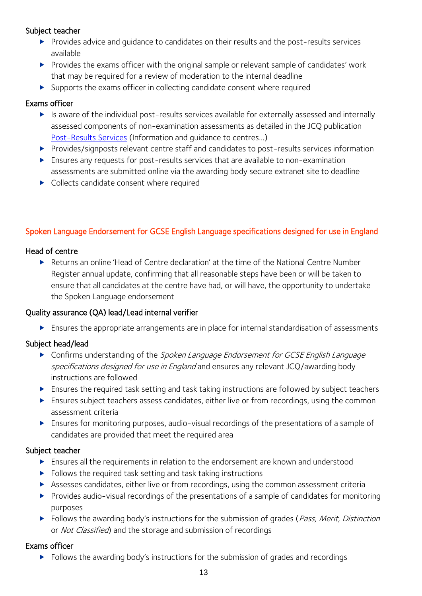#### Subject teacher

- Provides advice and guidance to candidates on their results and the post-results services available
- Provides the exams officer with the original sample or relevant sample of candidates' work that may be required for a review of moderation to the internal deadline
- $\triangleright$  Supports the exams officer in collecting candidate consent where required

#### Exams officer

- Is aware of the individual post-results services available for externally assessed and internally assessed components of non-examination assessments as detailed in the JCQ publication [Post-Results Services](https://www.jcq.org.uk/exams-office/post-results-services) (Information and guidance to centres...)
- Provides/signposts relevant centre staff and candidates to post-results services information
- Ensures any requests for post-results services that are available to non-examination assessments are submitted online via the awarding body secure extranet site to deadline
- ▶ Collects candidate consent where required

# Spoken Language Endorsement for GCSE English Language specifications designed for use in England

#### Head of centre

 Returns an online 'Head of Centre declaration' at the time of the National Centre Number Register annual update, confirming that all reasonable steps have been or will be taken to ensure that all candidates at the centre have had, or will have, the opportunity to undertake the Spoken Language endorsement

#### Quality assurance (QA) lead/Lead internal verifier

Ensures the appropriate arrangements are in place for internal standardisation of assessments

# Subject head/lead

- Confirms understanding of the Spoken Language Endorsement for GCSE English Language specifications designed for use in England and ensures any relevant JCQ/awarding body instructions are followed
- Ensures the required task setting and task taking instructions are followed by subject teachers
- Ensures subject teachers assess candidates, either live or from recordings, using the common assessment criteria
- Ensures for monitoring purposes, audio-visual recordings of the presentations of a sample of candidates are provided that meet the required area

#### Subject teacher

- Ensures all the requirements in relation to the endorsement are known and understood
- $\blacktriangleright$  Follows the required task setting and task taking instructions
- Assesses candidates, either live or from recordings, using the common assessment criteria
- Provides audio-visual recordings of the presentations of a sample of candidates for monitoring purposes
- $\blacktriangleright$  Follows the awarding body's instructions for the submission of grades (*Pass, Merit, Distinction*) or Not Classified) and the storage and submission of recordings

#### Exams officer

Follows the awarding body's instructions for the submission of grades and recordings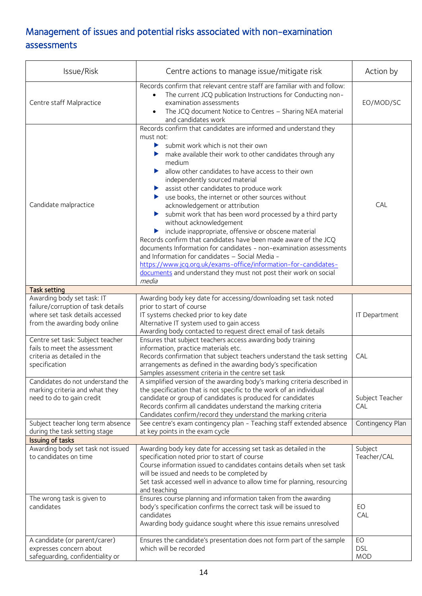# Management of issues and potential risks associated with non-examination assessments

| Issue/Risk                                                                                                                           | Centre actions to manage issue/mitigate risk                                                                                                                                                                                                                                                                                                                                                                                                                                                                                                                                                                                                                                                                                                                                                                                                                                                                                                                                       | Action by                      |
|--------------------------------------------------------------------------------------------------------------------------------------|------------------------------------------------------------------------------------------------------------------------------------------------------------------------------------------------------------------------------------------------------------------------------------------------------------------------------------------------------------------------------------------------------------------------------------------------------------------------------------------------------------------------------------------------------------------------------------------------------------------------------------------------------------------------------------------------------------------------------------------------------------------------------------------------------------------------------------------------------------------------------------------------------------------------------------------------------------------------------------|--------------------------------|
| Centre staff Malpractice                                                                                                             | Records confirm that relevant centre staff are familiar with and follow:<br>The current JCQ publication Instructions for Conducting non-<br>examination assessments<br>The JCQ document Notice to Centres - Sharing NEA material<br>and candidates work                                                                                                                                                                                                                                                                                                                                                                                                                                                                                                                                                                                                                                                                                                                            | EO/MOD/SC                      |
| Candidate malpractice                                                                                                                | Records confirm that candidates are informed and understand they<br>must not:<br>submit work which is not their own<br>▶<br>make available their work to other candidates through any<br>medium<br>I allow other candidates to have access to their own<br>independently sourced material<br>assist other candidates to produce work<br>▶<br>use books, the internet or other sources without<br>▶<br>acknowledgement or attribution<br>submit work that has been word processed by a third party<br>$\blacktriangleright$<br>without acknowledgement<br>include inappropriate, offensive or obscene material<br>$\blacktriangleright$<br>Records confirm that candidates have been made aware of the JCQ<br>documents Information for candidates - non-examination assessments<br>and Information for candidates - Social Media -<br>https://www.jcq.org.uk/exams-office/information-for-candidates-<br>documents and understand they must not post their work on social<br>media | CAL                            |
| <b>Task setting</b>                                                                                                                  |                                                                                                                                                                                                                                                                                                                                                                                                                                                                                                                                                                                                                                                                                                                                                                                                                                                                                                                                                                                    |                                |
| Awarding body set task: IT<br>failure/corruption of task details<br>where set task details accessed<br>from the awarding body online | Awarding body key date for accessing/downloading set task noted<br>prior to start of course<br>IT systems checked prior to key date<br>Alternative IT system used to gain access<br>Awarding body contacted to request direct email of task details                                                                                                                                                                                                                                                                                                                                                                                                                                                                                                                                                                                                                                                                                                                                | IT Department                  |
| Centre set task: Subject teacher<br>fails to meet the assessment<br>criteria as detailed in the<br>specification                     | Ensures that subject teachers access awarding body training<br>information, practice materials etc.<br>Records confirmation that subject teachers understand the task setting<br>arrangements as defined in the awarding body's specification<br>Samples assessment criteria in the centre set task                                                                                                                                                                                                                                                                                                                                                                                                                                                                                                                                                                                                                                                                                | CAL                            |
| Candidates do not understand the<br>marking criteria and what they<br>need to do to gain credit                                      | A simplified version of the awarding body's marking criteria described in<br>the specification that is not specific to the work of an individual<br>candidate or group of candidates is produced for candidates<br>Records confirm all candidates understand the marking criteria<br>Candidates confirm/record they understand the marking criteria                                                                                                                                                                                                                                                                                                                                                                                                                                                                                                                                                                                                                                | Subject Teacher<br>CAL         |
| Subject teacher long term absence<br>during the task setting stage                                                                   | See centre's exam contingency plan - Teaching staff extended absence<br>at key points in the exam cycle                                                                                                                                                                                                                                                                                                                                                                                                                                                                                                                                                                                                                                                                                                                                                                                                                                                                            | Contingency Plan               |
| Issuing of tasks                                                                                                                     |                                                                                                                                                                                                                                                                                                                                                                                                                                                                                                                                                                                                                                                                                                                                                                                                                                                                                                                                                                                    |                                |
| Awarding body set task not issued<br>to candidates on time                                                                           | Awarding body key date for accessing set task as detailed in the<br>specification noted prior to start of course<br>Course information issued to candidates contains details when set task<br>will be issued and needs to be completed by<br>Set task accessed well in advance to allow time for planning, resourcing<br>and teaching                                                                                                                                                                                                                                                                                                                                                                                                                                                                                                                                                                                                                                              | Subject<br>Teacher/CAL         |
| The wrong task is given to<br>candidates                                                                                             | Ensures course planning and information taken from the awarding<br>body's specification confirms the correct task will be issued to<br>candidates<br>Awarding body guidance sought where this issue remains unresolved                                                                                                                                                                                                                                                                                                                                                                                                                                                                                                                                                                                                                                                                                                                                                             | EO<br>CAL                      |
| A candidate (or parent/carer)<br>expresses concern about<br>safeguarding, confidentiality or                                         | Ensures the candidate's presentation does not form part of the sample<br>which will be recorded                                                                                                                                                                                                                                                                                                                                                                                                                                                                                                                                                                                                                                                                                                                                                                                                                                                                                    | EO<br><b>DSL</b><br><b>MOD</b> |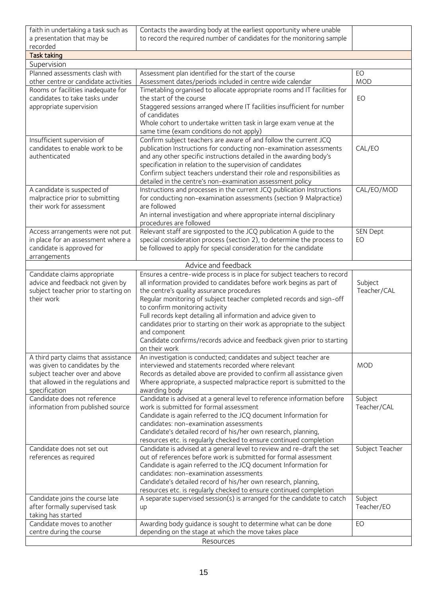| faith in undertaking a task such as<br>a presentation that may be<br>recorded                                                                                    | Contacts the awarding body at the earliest opportunity where unable<br>to record the required number of candidates for the monitoring sample                                                                                                                                                                                                                                                                                                                                                                                                                       |                        |
|------------------------------------------------------------------------------------------------------------------------------------------------------------------|--------------------------------------------------------------------------------------------------------------------------------------------------------------------------------------------------------------------------------------------------------------------------------------------------------------------------------------------------------------------------------------------------------------------------------------------------------------------------------------------------------------------------------------------------------------------|------------------------|
| <b>Task taking</b>                                                                                                                                               |                                                                                                                                                                                                                                                                                                                                                                                                                                                                                                                                                                    |                        |
| Supervision                                                                                                                                                      |                                                                                                                                                                                                                                                                                                                                                                                                                                                                                                                                                                    |                        |
| Planned assessments clash with<br>other centre or candidate activities                                                                                           | Assessment plan identified for the start of the course<br>Assessment dates/periods included in centre wide calendar                                                                                                                                                                                                                                                                                                                                                                                                                                                | EO<br><b>MOD</b>       |
| Rooms or facilities inadequate for<br>candidates to take tasks under<br>appropriate supervision                                                                  | Timetabling organised to allocate appropriate rooms and IT facilities for<br>the start of the course<br>Staggered sessions arranged where IT facilities insufficient for number<br>of candidates<br>Whole cohort to undertake written task in large exam venue at the<br>same time (exam conditions do not apply)                                                                                                                                                                                                                                                  | EO                     |
| Insufficient supervision of<br>candidates to enable work to be<br>authenticated                                                                                  | Confirm subject teachers are aware of and follow the current JCQ<br>publication Instructions for conducting non-examination assessments<br>and any other specific instructions detailed in the awarding body's<br>specification in relation to the supervision of candidates<br>Confirm subject teachers understand their role and responsibilities as<br>detailed in the centre's non-examination assessment policy                                                                                                                                               | CAL/EO                 |
| A candidate is suspected of<br>malpractice prior to submitting<br>their work for assessment                                                                      | Instructions and processes in the current JCQ publication Instructions<br>for conducting non-examination assessments (section 9 Malpractice)<br>are followed<br>An internal investigation and where appropriate internal disciplinary<br>procedures are followed                                                                                                                                                                                                                                                                                                   | CAL/EO/MOD             |
| Access arrangements were not put<br>in place for an assessment where a<br>candidate is approved for<br>arrangements                                              | Relevant staff are signposted to the JCQ publication A guide to the<br>special consideration process (section 2), to determine the process to<br>be followed to apply for special consideration for the candidate                                                                                                                                                                                                                                                                                                                                                  | SEN Dept<br>EO         |
|                                                                                                                                                                  | Advice and feedback                                                                                                                                                                                                                                                                                                                                                                                                                                                                                                                                                |                        |
| Candidate claims appropriate<br>advice and feedback not given by<br>subject teacher prior to starting on<br>their work                                           | Ensures a centre-wide process is in place for subject teachers to record<br>all information provided to candidates before work begins as part of<br>the centre's quality assurance procedures<br>Regular monitoring of subject teacher completed records and sign-off<br>to confirm monitoring activity<br>Full records kept detailing all information and advice given to<br>candidates prior to starting on their work as appropriate to the subject<br>and component<br>Candidate confirms/records advice and feedback given prior to starting<br>on their work | Subject<br>Teacher/CAL |
| A third party claims that assistance<br>was given to candidates by the<br>subject teacher over and above<br>that allowed in the regulations and<br>specification | An investigation is conducted; candidates and subject teacher are<br>interviewed and statements recorded where relevant<br>Records as detailed above are provided to confirm all assistance given<br>Where appropriate, a suspected malpractice report is submitted to the<br>awarding body                                                                                                                                                                                                                                                                        | <b>MOD</b>             |
| Candidate does not reference<br>information from published source                                                                                                | Candidate is advised at a general level to reference information before<br>work is submitted for formal assessment<br>Candidate is again referred to the JCQ document Information for<br>candidates: non-examination assessments<br>Candidate's detailed record of his/her own research, planning,<br>resources etc. is regularly checked to ensure continued completion                                                                                                                                                                                           | Subject<br>Teacher/CAL |
| Candidate does not set out<br>references as required                                                                                                             | Candidate is advised at a general level to review and re-draft the set<br>out of references before work is submitted for formal assessment<br>Candidate is again referred to the JCQ document Information for<br>candidates: non-examination assessments<br>Candidate's detailed record of his/her own research, planning,<br>resources etc. is regularly checked to ensure continued completion                                                                                                                                                                   | Subject Teacher        |
| Candidate joins the course late<br>after formally supervised task<br>taking has started                                                                          | A separate supervised session(s) is arranged for the candidate to catch<br>up                                                                                                                                                                                                                                                                                                                                                                                                                                                                                      | Subject<br>Teacher/EO  |
| Candidate moves to another<br>centre during the course                                                                                                           | Awarding body guidance is sought to determine what can be done<br>depending on the stage at which the move takes place                                                                                                                                                                                                                                                                                                                                                                                                                                             | EO                     |
|                                                                                                                                                                  | Resources                                                                                                                                                                                                                                                                                                                                                                                                                                                                                                                                                          |                        |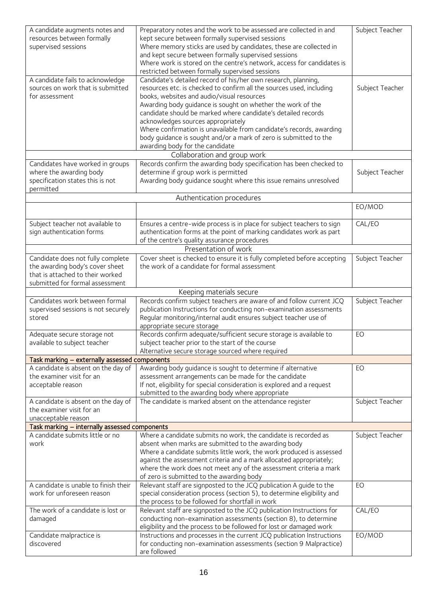| A candidate augments notes and                                                    | Preparatory notes and the work to be assessed are collected in and                                         | Subject Teacher |
|-----------------------------------------------------------------------------------|------------------------------------------------------------------------------------------------------------|-----------------|
| resources between formally                                                        | kept secure between formally supervised sessions                                                           |                 |
| supervised sessions                                                               | Where memory sticks are used by candidates, these are collected in                                         |                 |
|                                                                                   | and kept secure between formally supervised sessions                                                       |                 |
|                                                                                   | Where work is stored on the centre's network, access for candidates is                                     |                 |
|                                                                                   | restricted between formally supervised sessions                                                            |                 |
| A candidate fails to acknowledge                                                  | Candidate's detailed record of his/her own research, planning,                                             |                 |
| sources on work that is submitted                                                 | resources etc. is checked to confirm all the sources used, including                                       | Subject Teacher |
| for assessment                                                                    | books, websites and audio/visual resources                                                                 |                 |
|                                                                                   | Awarding body guidance is sought on whether the work of the                                                |                 |
|                                                                                   | candidate should be marked where candidate's detailed records                                              |                 |
|                                                                                   | acknowledges sources appropriately<br>Where confirmation is unavailable from candidate's records, awarding |                 |
|                                                                                   | body guidance is sought and/or a mark of zero is submitted to the                                          |                 |
|                                                                                   | awarding body for the candidate                                                                            |                 |
|                                                                                   | Collaboration and group work                                                                               |                 |
| Candidates have worked in groups                                                  | Records confirm the awarding body specification has been checked to                                        |                 |
| where the awarding body                                                           | determine if group work is permitted                                                                       | Subject Teacher |
| specification states this is not                                                  | Awarding body guidance sought where this issue remains unresolved                                          |                 |
| permitted                                                                         |                                                                                                            |                 |
|                                                                                   | Authentication procedures                                                                                  |                 |
|                                                                                   |                                                                                                            | EO/MOD          |
|                                                                                   |                                                                                                            |                 |
| Subject teacher not available to                                                  | Ensures a centre-wide process is in place for subject teachers to sign                                     | CAL/EO          |
| sign authentication forms                                                         | authentication forms at the point of marking candidates work as part                                       |                 |
|                                                                                   | of the centre's quality assurance procedures                                                               |                 |
|                                                                                   | Presentation of work                                                                                       |                 |
| Candidate does not fully complete                                                 | Cover sheet is checked to ensure it is fully completed before accepting                                    | Subject Teacher |
| the awarding body's cover sheet                                                   | the work of a candidate for formal assessment                                                              |                 |
| that is attached to their worked                                                  |                                                                                                            |                 |
| submitted for formal assessment                                                   |                                                                                                            |                 |
|                                                                                   | Keeping materials secure                                                                                   |                 |
| Candidates work between formal                                                    | Records confirm subject teachers are aware of and follow current JCQ                                       | Subject Teacher |
|                                                                                   |                                                                                                            |                 |
| supervised sessions is not securely                                               | publication Instructions for conducting non-examination assessments                                        |                 |
| stored                                                                            | Regular monitoring/internal audit ensures subject teacher use of                                           |                 |
|                                                                                   | appropriate secure storage                                                                                 |                 |
| Adequate secure storage not                                                       | Records confirm adequate/sufficient secure storage is available to                                         | EO              |
| available to subject teacher                                                      | subject teacher prior to the start of the course                                                           |                 |
|                                                                                   | Alternative secure storage sourced where required                                                          |                 |
| Task marking - externally assessed components                                     |                                                                                                            |                 |
| A candidate is absent on the day of                                               | Awarding body guidance is sought to determine if alternative                                               | EO              |
| the examiner visit for an                                                         | assessment arrangements can be made for the candidate                                                      |                 |
| acceptable reason                                                                 | If not, eligibility for special consideration is explored and a request                                    |                 |
|                                                                                   | submitted to the awarding body where appropriate                                                           |                 |
| A candidate is absent on the day of<br>the examiner visit for an                  | The candidate is marked absent on the attendance register                                                  | Subject Teacher |
|                                                                                   |                                                                                                            |                 |
| unacceptable reason                                                               |                                                                                                            |                 |
| Task marking - internally assessed components<br>A candidate submits little or no | Where a candidate submits no work, the candidate is recorded as                                            | Subject Teacher |
| work                                                                              | absent when marks are submitted to the awarding body                                                       |                 |
|                                                                                   | Where a candidate submits little work, the work produced is assessed                                       |                 |
|                                                                                   | against the assessment criteria and a mark allocated appropriately;                                        |                 |
|                                                                                   | where the work does not meet any of the assessment criteria a mark                                         |                 |
|                                                                                   | of zero is submitted to the awarding body                                                                  |                 |
| A candidate is unable to finish their                                             | Relevant staff are signposted to the JCQ publication A guide to the                                        | EO              |
| work for unforeseen reason                                                        | special consideration process (section 5), to determine eligibility and                                    |                 |
|                                                                                   | the process to be followed for shortfall in work                                                           |                 |
| The work of a candidate is lost or                                                | Relevant staff are signposted to the JCQ publication Instructions for                                      | CAL/EO          |
| damaged                                                                           | conducting non-examination assessments (section 8), to determine                                           |                 |
|                                                                                   | eligibility and the process to be followed for lost or damaged work                                        |                 |
| Candidate malpractice is                                                          | Instructions and processes in the current JCQ publication Instructions                                     | EO/MOD          |
| discovered                                                                        | for conducting non-examination assessments (section 9 Malpractice)<br>are followed                         |                 |